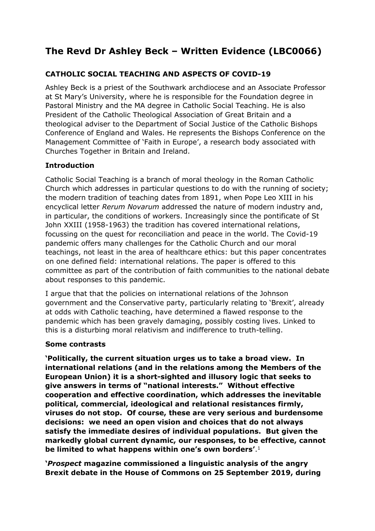# **The Revd Dr Ashley Beck – Written Evidence (LBC0066)**

# **CATHOLIC SOCIAL TEACHING AND ASPECTS OF COVID-19**

Ashley Beck is a priest of the Southwark archdiocese and an Associate Professor at St Mary's University, where he is responsible for the Foundation degree in Pastoral Ministry and the MA degree in Catholic Social Teaching. He is also President of the Catholic Theological Association of Great Britain and a theological adviser to the Department of Social Justice of the Catholic Bishops Conference of England and Wales. He represents the Bishops Conference on the Management Committee of 'Faith in Europe', a research body associated with Churches Together in Britain and Ireland.

## **Introduction**

Catholic Social Teaching is a branch of moral theology in the Roman Catholic Church which addresses in particular questions to do with the running of society; the modern tradition of teaching dates from 1891, when Pope Leo XIII in his encyclical letter *Rerum Novarum* addressed the nature of modern industry and, in particular, the conditions of workers. Increasingly since the pontificate of St John XXIII (1958-1963) the tradition has covered international relations, focussing on the quest for reconciliation and peace in the world. The Covid-19 pandemic offers many challenges for the Catholic Church and our moral teachings, not least in the area of healthcare ethics: but this paper concentrates on one defined field: international relations. The paper is offered to this committee as part of the contribution of faith communities to the national debate about responses to this pandemic.

I argue that that the policies on international relations of the Johnson government and the Conservative party, particularly relating to 'Brexit', already at odds with Catholic teaching, have determined a flawed response to the pandemic which has been gravely damaging, possibly costing lives. Linked to this is a disturbing moral relativism and indifference to truth-telling.

### **Some contrasts**

**'Politically, the current situation urges us to take a broad view. In international relations (and in the relations among the Members of the European Union) it is a short-sighted and illusory logic that seeks to give answers in terms of "national interests." Without effective cooperation and effective coordination, which addresses the inevitable political, commercial, ideological and relational resistances firmly, viruses do not stop. Of course, these are very serious and burdensome decisions: we need an open vision and choices that do not always satisfy the immediate desires of individual populations. But given the markedly global current dynamic, our responses, to be effective, cannot be limited to what happens within one's own borders'**. 1

**'***Prospect* **magazine commissioned a linguistic analysis of the angry Brexit debate in the House of Commons on 25 September 2019, during**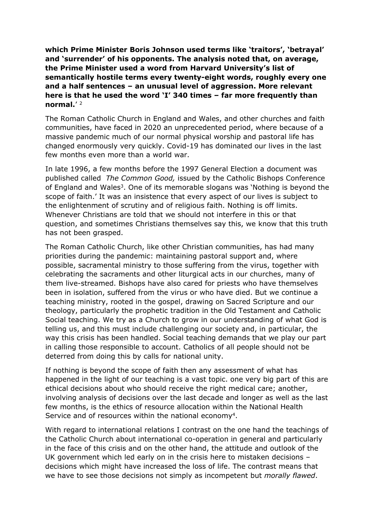**which Prime Minister Boris Johnson used terms like 'traitors', 'betrayal' and 'surrender' of his opponents. The analysis noted that, on average, the Prime Minister used a word from Harvard University's list of semantically hostile terms every twenty-eight words, roughly every one and a half sentences – an unusual level of aggression. More relevant here is that he used the word 'I' 340 times – far more frequently than normal.**' 2

The Roman Catholic Church in England and Wales, and other churches and faith communities, have faced in 2020 an unprecedented period, where because of a massive pandemic much of our normal physical worship and pastoral life has changed enormously very quickly. Covid-19 has dominated our lives in the last few months even more than a world war.

In late 1996, a few months before the 1997 General Election a document was published called *The Common Good,* issued by the Catholic Bishops Conference of England and Wales<sup>3</sup>. One of its memorable slogans was 'Nothing is beyond the scope of faith.' It was an insistence that every aspect of our lives is subject to the enlightenment of scrutiny and of religious faith. Nothing is off limits. Whenever Christians are told that we should not interfere in this or that question, and sometimes Christians themselves say this, we know that this truth has not been grasped.

The Roman Catholic Church, like other Christian communities, has had many priorities during the pandemic: maintaining pastoral support and, where possible, sacramental ministry to those suffering from the virus, together with celebrating the sacraments and other liturgical acts in our churches, many of them live-streamed. Bishops have also cared for priests who have themselves been in isolation, suffered from the virus or who have died. But we continue a teaching ministry, rooted in the gospel, drawing on Sacred Scripture and our theology, particularly the prophetic tradition in the Old Testament and Catholic Social teaching. We try as a Church to grow in our understanding of what God is telling us, and this must include challenging our society and, in particular, the way this crisis has been handled. Social teaching demands that we play our part in calling those responsible to account. Catholics of all people should not be deterred from doing this by calls for national unity.

If nothing is beyond the scope of faith then any assessment of what has happened in the light of our teaching is a vast topic. one very big part of this are ethical decisions about who should receive the right medical care; another, involving analysis of decisions over the last decade and longer as well as the last few months, is the ethics of resource allocation within the National Health Service and of resources within the national economy<sup>4</sup>.

With regard to international relations I contrast on the one hand the teachings of the Catholic Church about international co-operation in general and particularly in the face of this crisis and on the other hand, the attitude and outlook of the UK government which led early on in the crisis here to mistaken decisions – decisions which might have increased the loss of life. The contrast means that we have to see those decisions not simply as incompetent but *morally flawed*.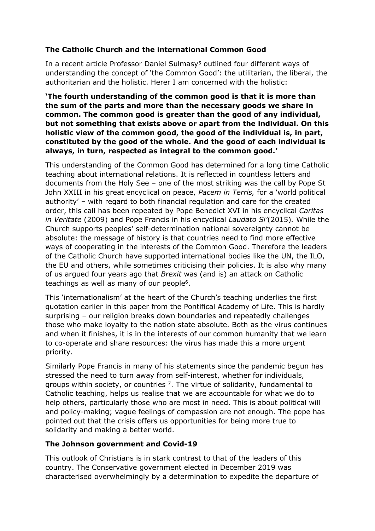# **The Catholic Church and the international Common Good**

In a recent article Professor Daniel Sulmasy<sup>5</sup> outlined four different ways of understanding the concept of 'the Common Good': the utilitarian, the liberal, the authoritarian and the holistic. Herer I am concerned with the holistic:

**'The fourth understanding of the common good is that it is more than the sum of the parts and more than the necessary goods we share in common. The common good is greater than the good of any individual, but not something that exists above or apart from the individual. On this holistic view of the common good, the good of the individual is, in part, constituted by the good of the whole. And the good of each individual is always, in turn, respected as integral to the common good.'**

This understanding of the Common Good has determined for a long time Catholic teaching about international relations. It is reflected in countless letters and documents from the Holy See – one of the most striking was the call by Pope St John XXIII in his great encyclical on peace, *Pacem in Terris,* for a 'world political authority' – with regard to both financial regulation and care for the created order, this call has been repeated by Pope Benedict XVI in his encyclical *Caritas in Veritate* (2009) and Pope Francis in his encyclical *Laudato Si'*(2015)*.* While the Church supports peoples' self-determination national sovereignty cannot be absolute: the message of history is that countries need to find more effective ways of cooperating in the interests of the Common Good. Therefore the leaders of the Catholic Church have supported international bodies like the UN, the ILO, the EU and others, while sometimes criticising their policies. It is also why many of us argued four years ago that *Brexit* was (and is) an attack on Catholic teachings as well as many of our people<sup>6</sup>.

This 'internationalism' at the heart of the Church's teaching underlies the first quotation earlier in this paper from the Pontifical Academy of Life. This is hardly surprising – our religion breaks down boundaries and repeatedly challenges those who make loyalty to the nation state absolute. Both as the virus continues and when it finishes, it is in the interests of our common humanity that we learn to co-operate and share resources: the virus has made this a more urgent priority.

Similarly Pope Francis in many of his statements since the pandemic begun has stressed the need to turn away from self-interest, whether for individuals, groups within society, or countries  $<sup>7</sup>$ . The virtue of solidarity, fundamental to</sup> Catholic teaching, helps us realise that we are accountable for what we do to help others, particularly those who are most in need. This is about political will and policy-making; vague feelings of compassion are not enough. The pope has pointed out that the crisis offers us opportunities for being more true to solidarity and making a better world.

## **The Johnson government and Covid-19**

This outlook of Christians is in stark contrast to that of the leaders of this country. The Conservative government elected in December 2019 was characterised overwhelmingly by a determination to expedite the departure of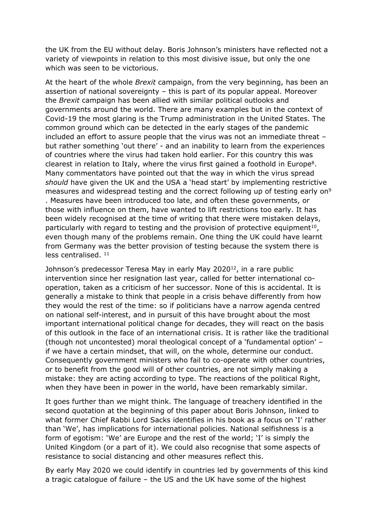the UK from the EU without delay. Boris Johnson's ministers have reflected not a variety of viewpoints in relation to this most divisive issue, but only the one which was seen to be victorious.

At the heart of the whole *Brexit* campaign, from the very beginning, has been an assertion of national sovereignty – this is part of its popular appeal. Moreover the *Brexit* campaign has been allied with similar political outlooks and governments around the world. There are many examples but in the context of Covid-19 the most glaring is the Trump administration in the United States. The common ground which can be detected in the early stages of the pandemic included an effort to assure people that the virus was not an immediate threat – but rather something 'out there' - and an inability to learn from the experiences of countries where the virus had taken hold earlier. For this country this was clearest in relation to Italy, where the virus first gained a foothold in Europe<sup>8</sup>. Many commentators have pointed out that the way in which the virus spread *should* have given the UK and the USA a 'head start' by implementing restrictive measures and widespread testing and the correct following up of testing early on<sup>9</sup> . Measures have been introduced too late, and often these governments, or those with influence on them, have wanted to lift restrictions too early. It has been widely recognised at the time of writing that there were mistaken delays, particularly with regard to testing and the provision of protective equipment<sup>10</sup>, even though many of the problems remain. One thing the UK could have learnt from Germany was the better provision of testing because the system there is less centralised. <sup>11</sup>

Johnson's predecessor Teresa May in early May 2020<sup>12</sup>, in a rare public intervention since her resignation last year, called for better international cooperation, taken as a criticism of her successor. None of this is accidental. It is generally a mistake to think that people in a crisis behave differently from how they would the rest of the time: so if politicians have a narrow agenda centred on national self-interest, and in pursuit of this have brought about the most important international political change for decades, they will react on the basis of this outlook in the face of an international crisis. It is rather like the traditional (though not uncontested) moral theological concept of a 'fundamental option' – if we have a certain mindset, that will, on the whole, determine our conduct. Consequently government ministers who fail to co-operate with other countries, or to benefit from the good will of other countries, are not simply making a mistake: they are acting according to type. The reactions of the political Right, when they have been in power in the world, have been remarkably similar.

It goes further than we might think. The language of treachery identified in the second quotation at the beginning of this paper about Boris Johnson, linked to what former Chief Rabbi Lord Sacks identifies in his book as a focus on 'I' rather than 'We', has implications for international policies. National selfishness is a form of egotism: 'We' are Europe and the rest of the world; 'I' is simply the United Kingdom (or a part of it). We could also recognise that some aspects of resistance to social distancing and other measures reflect this.

By early May 2020 we could identify in countries led by governments of this kind a tragic catalogue of failure – the US and the UK have some of the highest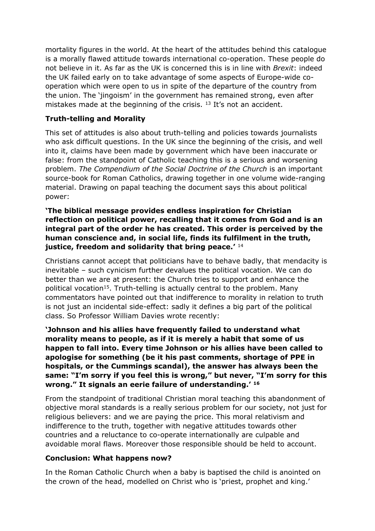mortality figures in the world. At the heart of the attitudes behind this catalogue is a morally flawed attitude towards international co-operation. These people do not believe in it. As far as the UK is concerned this is in line with *Brexit*: indeed the UK failed early on to take advantage of some aspects of Europe-wide cooperation which were open to us in spite of the departure of the country from the union. The 'jingoism' in the government has remained strong, even after mistakes made at the beginning of the crisis. <sup>13</sup> It's not an accident.

### **Truth-telling and Morality**

This set of attitudes is also about truth-telling and policies towards journalists who ask difficult questions. In the UK since the beginning of the crisis, and well into it, claims have been made by government which have been inaccurate or false: from the standpoint of Catholic teaching this is a serious and worsening problem. *The Compendium of the Social Doctrine of the Church* is an important source-book for Roman Catholics, drawing together in one volume wide*-*ranging material. Drawing on papal teaching the document says this about political power:

**'The biblical message provides endless inspiration for Christian reflection on political power, recalling that it comes from God and is an integral part of the order he has created. This order is perceived by the human conscience and, in social life, finds its fulfilment in the truth, justice, freedom and solidarity that bring peace.'** <sup>14</sup>

Christians cannot accept that politicians have to behave badly, that mendacity is inevitable – such cynicism further devalues the political vocation. We can do better than we are at present: the Church tries to support and enhance the political vocation<sup>15</sup>. Truth-telling is actually central to the problem. Many commentators have pointed out that indifference to morality in relation to truth is not just an incidental side-effect: sadly it defines a big part of the political class. So Professor William Davies wrote recently:

**'Johnson and his allies have frequently failed to understand what morality means to people, as if it is merely a habit that some of us happen to fall into. Every time Johnson or his allies have been called to apologise for something (be it his past comments, shortage of PPE in hospitals, or the Cummings scandal), the answer has always been the same: "I'm sorry if you feel this is wrong," but never, "I'm sorry for this wrong." It signals an eerie failure of understanding.' <sup>16</sup>**

From the standpoint of traditional Christian moral teaching this abandonment of objective moral standards is a really serious problem for our society, not just for religious believers: and we are paying the price. This moral relativism and indifference to the truth, together with negative attitudes towards other countries and a reluctance to co-operate internationally are culpable and avoidable moral flaws. Moreover those responsible should be held to account.

### **Conclusion: What happens now?**

In the Roman Catholic Church when a baby is baptised the child is anointed on the crown of the head, modelled on Christ who is 'priest, prophet and king.'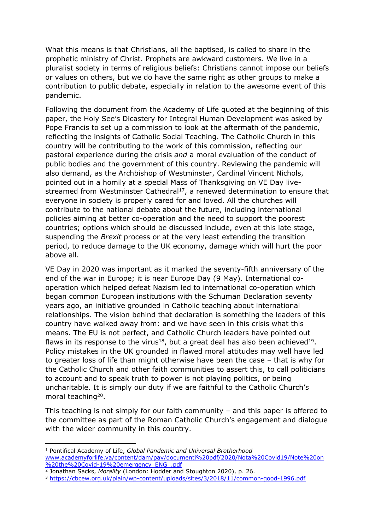What this means is that Christians, all the baptised, is called to share in the prophetic ministry of Christ. Prophets are awkward customers. We live in a pluralist society in terms of religious beliefs: Christians cannot impose our beliefs or values on others, but we do have the same right as other groups to make a contribution to public debate, especially in relation to the awesome event of this pandemic.

Following the document from the Academy of Life quoted at the beginning of this paper, the Holy See's Dicastery for Integral Human Development was asked by Pope Francis to set up a commission to look at the aftermath of the pandemic, reflecting the insights of Catholic Social Teaching. The Catholic Church in this country will be contributing to the work of this commission, reflecting our pastoral experience during the crisis *and* a moral evaluation of the conduct of public bodies and the government of this country. Reviewing the pandemic will also demand, as the Archbishop of Westminster, Cardinal Vincent Nichols, pointed out in a homily at a special Mass of Thanksgiving on VE Day livestreamed from Westminster Cathedral<sup>17</sup>, a renewed determination to ensure that everyone in society is properly cared for and loved. All the churches will contribute to the national debate about the future, including international policies aiming at better co-operation and the need to support the poorest countries; options which should be discussed include, even at this late stage, suspending the *Brexit* process or at the very least extending the transition period, to reduce damage to the UK economy, damage which will hurt the poor above all.

VE Day in 2020 was important as it marked the seventy-fifth anniversary of the end of the war in Europe; it is near Europe Day (9 May). International cooperation which helped defeat Nazism led to international co-operation which began common European institutions with the Schuman Declaration seventy years ago, an initiative grounded in Catholic teaching about international relationships. The vision behind that declaration is something the leaders of this country have walked away from: and we have seen in this crisis what this means. The EU is not perfect, and Catholic Church leaders have pointed out flaws in its response to the virus<sup>18</sup>, but a great deal has also been achieved<sup>19</sup>. Policy mistakes in the UK grounded in flawed moral attitudes may well have led to greater loss of life than might otherwise have been the case – that is why for the Catholic Church and other faith communities to assert this, to call politicians to account and to speak truth to power is not playing politics, or being uncharitable. It is simply our duty if we are faithful to the Catholic Church's moral teaching<sup>20</sup>.

This teaching is not simply for our faith community – and this paper is offered to the committee as part of the Roman Catholic Church's engagement and dialogue with the wider community in this country.

<sup>1</sup> Pontifical Academy of Life, *Global Pandemic and Universal Brotherhood* [www.academyforlife.va/content/dam/pav/documenti%20pdf/2020/Nota%20Covid19/Note%20on](http://www.academyforlife.va/content/dam/pav/documenti%20pdf/2020/Nota%20Covid19/Note%20on%20the%20Covid-19%20emergency_ENG_.pdf) [%20the%20Covid-19%20emergency\\_ENG\\_.pdf](http://www.academyforlife.va/content/dam/pav/documenti%20pdf/2020/Nota%20Covid19/Note%20on%20the%20Covid-19%20emergency_ENG_.pdf)

<sup>2</sup> Jonathan Sacks, *Morality* (London: Hodder and Stoughton 2020), p. 26.

<sup>3</sup> <https://cbcew.org.uk/plain/wp-content/uploads/sites/3/2018/11/common-good-1996.pdf>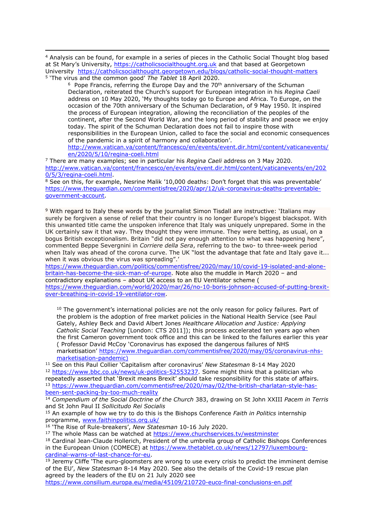<sup>4</sup> Analysis can be found, for example in a series of pieces in the Catholic Social Thought blog based at St Mary's University, [https://catholicsocialthought.org.uk](https://catholicsocialthought.org.uk/) and that based at Georgetown University <https://catholicsocialthought.georgetown.edu/blogs/catholic-social-thought-matters> <sup>5</sup> 'The virus and the common good' *The Tablet* 18 April 2020.

 $6$  Pope Francis, referring the Europe Day and the 70<sup>th</sup> anniversary of the Schuman Declaration, reiterated the Church's support for European integration in his *Regina Caeli* address on 10 May 2020, 'My thoughts today go to Europe and Africa. To Europe, on the occasion of the 70th anniversary of the Schuman Declaration, of 9 May 1950. It inspired the process of European integration, allowing the reconciliation of the peoples of the continent, after the Second World War, and the long period of stability and peace we enjoy today. The spirit of the Schuman Declaration does not fail to inspire those with responsibilities in the European Union, called to face the social and economic consequences of the pandemic in a spirit of harmony and collaboration'.

[http://www.vatican.va/content/francesco/en/events/event.dir.html/content/vaticanevents/](http://www.vatican.va/content/francesco/en/events/event.dir.html/content/vaticanevents/en/2020/5/10/regina-coeli.html) [en/2020/5/10/regina-coeli.html](http://www.vatican.va/content/francesco/en/events/event.dir.html/content/vaticanevents/en/2020/5/10/regina-coeli.html)

<sup>7</sup> There are many examples; see in particular his *Regina Caeli* address on 3 May 2020. [http://www.vatican.va/content/francesco/en/events/event.dir.html/content/vaticanevents/en/202](http://www.vatican.va/content/francesco/en/events/event.dir.html/content/vaticanevents/en/2020/5/3/regina-coeli.html) [0/5/3/regina-coeli.html.](http://www.vatican.va/content/francesco/en/events/event.dir.html/content/vaticanevents/en/2020/5/3/regina-coeli.html)

<sup>8</sup> See on this, for example, Nesrine Malik '10,000 deaths: Don't forget that this was preventable' [https://www.theguardian.com/commentisfree/2020/apr/12/uk-coronavirus-deaths-preventable](https://www.theguardian.com/commentisfree/2020/apr/12/uk-coronavirus-deaths-preventable-government-account)[government-account.](https://www.theguardian.com/commentisfree/2020/apr/12/uk-coronavirus-deaths-preventable-government-account)

<sup>9</sup> With regard to Italy these words by the journalist Simon Tisdall are instructive: 'Italians may surely be forgiven a sense of relief that their country is no longer Europe's biggest blackspot. With this unwanted title came the unspoken inference that Italy was uniquely unprepared. Some in the UK certainly saw it that way. They thought they were immune. They were betting, as usual, on a bogus British exceptionalism. Britain "did not pay enough attention to what was happening here", commented Beppe Severgnini in *Corriere della Sera*, referring to the two- to three-week period when Italy was ahead of the corona curve. The UK "[lost](https://www.theguardian.com/world/2020/may/06/complacent-uk-draws-global-criticism-for-covid-19-response-boris-johnson) [the](https://www.theguardian.com/world/2020/may/06/complacent-uk-draws-global-criticism-for-covid-19-response-boris-johnson) [advantage](https://www.theguardian.com/world/2020/may/06/complacent-uk-draws-global-criticism-for-covid-19-response-boris-johnson) that fate and Italy gave it... when it was obvious the virus was spreading".'

[https://www.theguardian.com/politics/commentisfree/2020/may/10/covid-19-isolated-and-alone](https://www.theguardian.com/politics/commentisfree/2020/may/10/covid-19-isolated-and-alone-britain-has-become-the-sick-man-of-europe)[britain-has-become-the-sick-man-of-europe](https://www.theguardian.com/politics/commentisfree/2020/may/10/covid-19-isolated-and-alone-britain-has-become-the-sick-man-of-europe). Note also the muddle in March 2020 – and contradictory explanations – about UK access to an EU Ventilator scheme ( [https://www.theguardian.com/world/2020/mar/26/no-10-boris-johnson-accused-of-putting-brexit](https://www.theguardian.com/world/2020/mar/26/no-10-boris-johnson-accused-of-putting-brexit-over-breathing-in-covid-19-ventilator-row)[over-breathing-in-covid-19-ventilator-row.](https://www.theguardian.com/world/2020/mar/26/no-10-boris-johnson-accused-of-putting-brexit-over-breathing-in-covid-19-ventilator-row)

<sup>10</sup> The government's international policies are not the only reason for policy failures. Part of the problem is the adoption of free market policies in the National Health Service (see Paul Gately, Ashley Beck and David Albert Jones *Healthcare Allocation and Justice: Applying Catholic Social Teaching* [London: CTS 2011]); this process accelerated ten years ago when

the first Cameron government took office and this can be linked to the failures earlier this year ( Professor David McCoy 'Coronavirus has exposed the dangerous failures of NHS marketisation' [https://www.theguardian.com/commentisfree/2020/may/05/coronavirus-nhs-](https://www.theguardian.com/commentisfree/2020/may/05/coronavirus-nhs-marketisation-pandemic)

[marketisation-pandemic\)](https://www.theguardian.com/commentisfree/2020/may/05/coronavirus-nhs-marketisation-pandemic) <sup>11</sup> See on this Paul Collier 'Capitalism after coronavirus' *New Statesman* 8-14 May 2020

<sup>12</sup> [https://www.bbc.co.uk/news/uk-politics-52553237.](https://www.bbc.co.uk/news/uk-politics-52553237) Some might think that a politician who repeatedly asserted that 'Brexit means Brexit' should take responsibility for this state of affairs. <sup>13</sup> [https://www.theguardian.com/commentisfree/2020/may/02/the-british-charlatan-style-has](https://www.theguardian.com/commentisfree/2020/may/02/the-british-charlatan-style-has-been-sent-packing-by-too-much-reality)[been-sent-packing-by-too-much-reality](https://www.theguardian.com/commentisfree/2020/may/02/the-british-charlatan-style-has-been-sent-packing-by-too-much-reality)

<sup>14</sup> *Compendium of the Social Doctrine of the Church* 383, drawing on St John XXIII *Pacem in Terris* and St John Paul II *Sollicitudo Rei Socialis*

<sup>15</sup> An example of how we try to do this is the Bishops Conference *Faith in Politics* internship programme, [www.faithinpolitics.org.uk/](http://www.faithinpolitics.org.uk/)

<sup>16</sup> 'The Rise of Rule-breakers', *New Statesman* 10-16 July 2020.

<sup>17</sup> The whole Mass can be watched at <https://www.churchservices.tv/westminster>

<sup>18</sup> Cardinal Jean-Claude Hollerich, President of the umbrella group of Catholic Bishops Conferences in the European Union (COMECE) at [https://www.thetablet.co.uk/news/12797/luxembourg](https://www.thetablet.co.uk/news/12797/luxembourg-cardinal-warns-of-last-chance-for-eu)[cardinal-warns-of-last-chance-for-eu.](https://www.thetablet.co.uk/news/12797/luxembourg-cardinal-warns-of-last-chance-for-eu)

 $19$  Jeremy Cliffe 'The euro-gloomsters are wrong to use every crisis to predict the imminent demise of the EU', *New Statesman* 8-14 May 2020. See also the details of the Covid-19 rescue plan agreed by the leaders of the EU on 21 July 2020 see

<https://www.consilium.europa.eu/media/45109/210720-euco-final-conclusions-en.pdf>